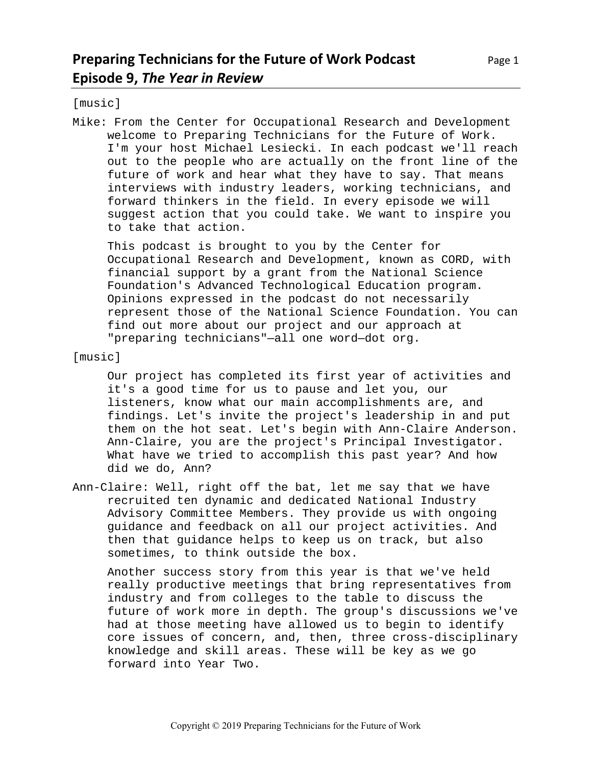[music]

Mike: From the Center for Occupational Research and Development welcome to Preparing Technicians for the Future of Work. I'm your host Michael Lesiecki. In each podcast we'll reach out to the people who are actually on the front line of the future of work and hear what they have to say. That means interviews with industry leaders, working technicians, and forward thinkers in the field. In every episode we will suggest action that you could take. We want to inspire you to take that action.

This podcast is brought to you by the Center for Occupational Research and Development, known as CORD, with financial support by a grant from the National Science Foundation's Advanced Technological Education program. Opinions expressed in the podcast do not necessarily represent those of the National Science Foundation. You can find out more about our project and our approach at "preparing technicians"—all one word—dot org.

[music]

Our project has completed its first year of activities and it's a good time for us to pause and let you, our listeners, know what our main accomplishments are, and findings. Let's invite the project's leadership in and put them on the hot seat. Let's begin with Ann-Claire Anderson. Ann-Claire, you are the project's Principal Investigator. What have we tried to accomplish this past year? And how did we do, Ann?

Ann-Claire: Well, right off the bat, let me say that we have recruited ten dynamic and dedicated National Industry Advisory Committee Members. They provide us with ongoing guidance and feedback on all our project activities. And then that guidance helps to keep us on track, but also sometimes, to think outside the box.

Another success story from this year is that we've held really productive meetings that bring representatives from industry and from colleges to the table to discuss the future of work more in depth. The group's discussions we've had at those meeting have allowed us to begin to identify core issues of concern, and, then, three cross-disciplinary knowledge and skill areas. These will be key as we go forward into Year Two.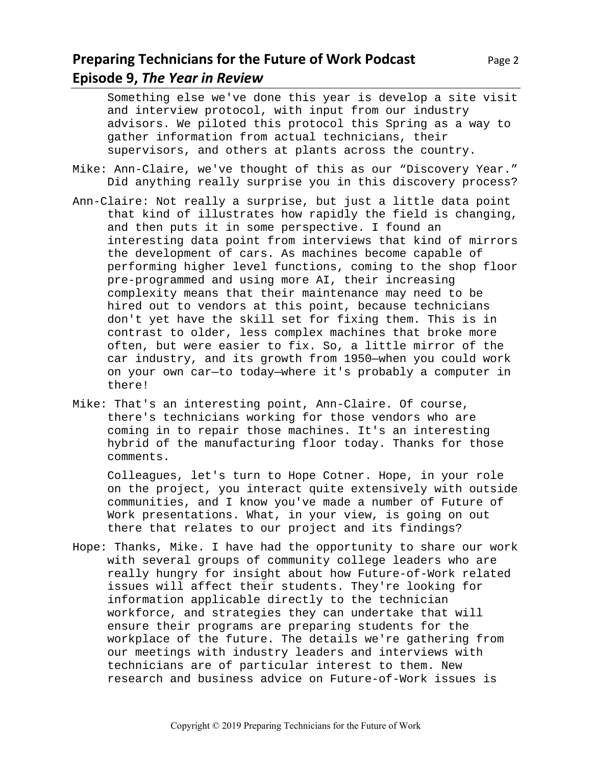# **Preparing Technicians for the Future of Work Podcast** Page 2 **Episode 9,** *The Year in Review*

Something else we've done this year is develop a site visit and interview protocol, with input from our industry advisors. We piloted this protocol this Spring as a way to gather information from actual technicians, their supervisors, and others at plants across the country.

- Mike: Ann-Claire, we've thought of this as our "Discovery Year." Did anything really surprise you in this discovery process?
- Ann-Claire: Not really a surprise, but just a little data point that kind of illustrates how rapidly the field is changing, and then puts it in some perspective. I found an interesting data point from interviews that kind of mirrors the development of cars. As machines become capable of performing higher level functions, coming to the shop floor pre-programmed and using more AI, their increasing complexity means that their maintenance may need to be hired out to vendors at this point, because technicians don't yet have the skill set for fixing them. This is in contrast to older, less complex machines that broke more often, but were easier to fix. So, a little mirror of the car industry, and its growth from 1950—when you could work on your own car—to today—where it's probably a computer in there!
- Mike: That's an interesting point, Ann-Claire. Of course, there's technicians working for those vendors who are coming in to repair those machines. It's an interesting hybrid of the manufacturing floor today. Thanks for those comments.

Colleagues, let's turn to Hope Cotner. Hope, in your role on the project, you interact quite extensively with outside communities, and I know you've made a number of Future of Work presentations. What, in your view, is going on out there that relates to our project and its findings?

Hope: Thanks, Mike. I have had the opportunity to share our work with several groups of community college leaders who are really hungry for insight about how Future-of-Work related issues will affect their students. They're looking for information applicable directly to the technician workforce, and strategies they can undertake that will ensure their programs are preparing students for the workplace of the future. The details we're gathering from our meetings with industry leaders and interviews with technicians are of particular interest to them. New research and business advice on Future-of-Work issues is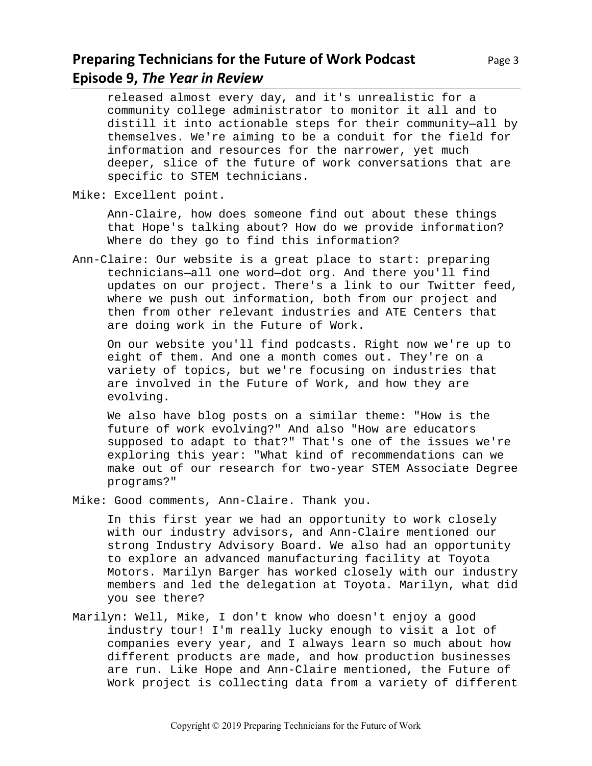## **Preparing Technicians for the Future of Work Podcast** Page 3 **Episode 9,** *The Year in Review*

released almost every day, and it's unrealistic for a community college administrator to monitor it all and to distill it into actionable steps for their community—all by themselves. We're aiming to be a conduit for the field for information and resources for the narrower, yet much deeper, slice of the future of work conversations that are specific to STEM technicians.

Mike: Excellent point.

Ann-Claire, how does someone find out about these things that Hope's talking about? How do we provide information? Where do they go to find this information?

Ann-Claire: Our website is a great place to start: preparing technicians—all one word—dot org. And there you'll find updates on our project. There's a link to our Twitter feed, where we push out information, both from our project and then from other relevant industries and ATE Centers that are doing work in the Future of Work.

On our website you'll find podcasts. Right now we're up to eight of them. And one a month comes out. They're on a variety of topics, but we're focusing on industries that are involved in the Future of Work, and how they are evolving.

We also have blog posts on a similar theme: "How is the future of work evolving?" And also "How are educators supposed to adapt to that?" That's one of the issues we're exploring this year: "What kind of recommendations can we make out of our research for two-year STEM Associate Degree programs?"

Mike: Good comments, Ann-Claire. Thank you.

In this first year we had an opportunity to work closely with our industry advisors, and Ann-Claire mentioned our strong Industry Advisory Board. We also had an opportunity to explore an advanced manufacturing facility at Toyota Motors. Marilyn Barger has worked closely with our industry members and led the delegation at Toyota. Marilyn, what did you see there?

Marilyn: Well, Mike, I don't know who doesn't enjoy a good industry tour! I'm really lucky enough to visit a lot of companies every year, and I always learn so much about how different products are made, and how production businesses are run. Like Hope and Ann-Claire mentioned, the Future of Work project is collecting data from a variety of different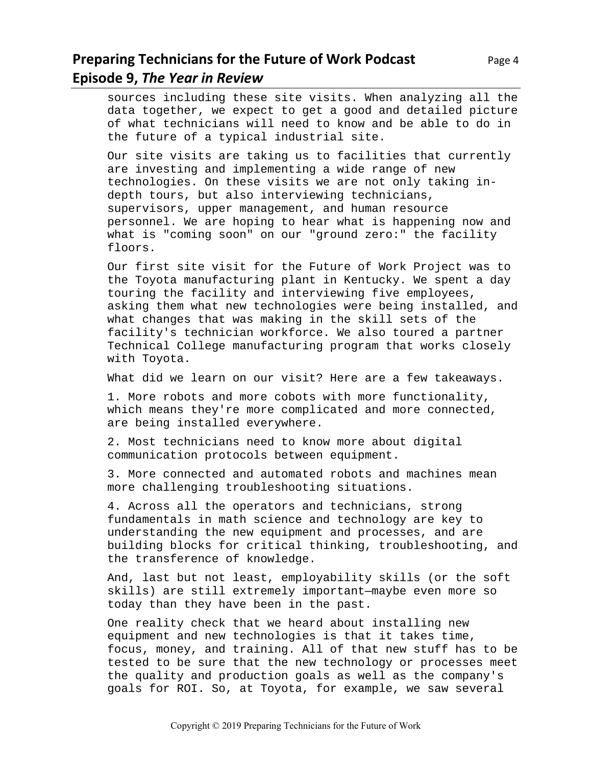## **Preparing Technicians for the Future of Work Podcast** Page 4 **Episode 9,** *The Year in Review*

sources including these site visits. When analyzing all the data together, we expect to get a good and detailed picture of what technicians will need to know and be able to do in the future of a typical industrial site.

Our site visits are taking us to facilities that currently are investing and implementing a wide range of new technologies. On these visits we are not only taking indepth tours, but also interviewing technicians, supervisors, upper management, and human resource personnel. We are hoping to hear what is happening now and what is "coming soon" on our "ground zero:" the facility floors.

Our first site visit for the Future of Work Project was to the Toyota manufacturing plant in Kentucky. We spent a day touring the facility and interviewing five employees, asking them what new technologies were being installed, and what changes that was making in the skill sets of the facility's technician workforce. We also toured a partner Technical College manufacturing program that works closely with Toyota.

What did we learn on our visit? Here are a few takeaways.

1. More robots and more cobots with more functionality, which means they're more complicated and more connected, are being installed everywhere.

2. Most technicians need to know more about digital communication protocols between equipment.

3. More connected and automated robots and machines mean more challenging troubleshooting situations.

4. Across all the operators and technicians, strong fundamentals in math science and technology are key to understanding the new equipment and processes, and are building blocks for critical thinking, troubleshooting, and the transference of knowledge.

And, last but not least, employability skills (or the soft skills) are still extremely important—maybe even more so today than they have been in the past.

One reality check that we heard about installing new equipment and new technologies is that it takes time, focus, money, and training. All of that new stuff has to be tested to be sure that the new technology or processes meet the quality and production goals as well as the company's goals for ROI. So, at Toyota, for example, we saw several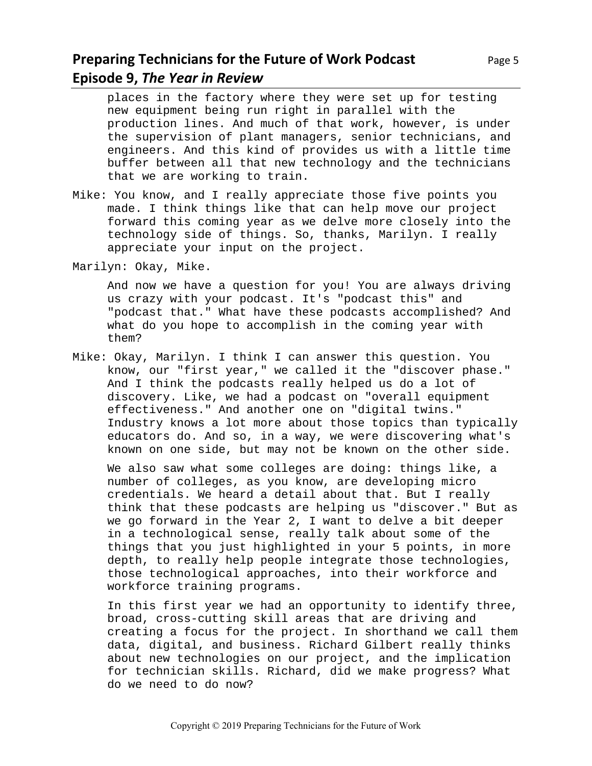## **Preparing Technicians for the Future of Work Podcast** Page 5 **Episode 9,** *The Year in Review*

places in the factory where they were set up for testing new equipment being run right in parallel with the production lines. And much of that work, however, is under the supervision of plant managers, senior technicians, and engineers. And this kind of provides us with a little time buffer between all that new technology and the technicians that we are working to train.

- Mike: You know, and I really appreciate those five points you made. I think things like that can help move our project forward this coming year as we delve more closely into the technology side of things. So, thanks, Marilyn. I really appreciate your input on the project.
- Marilyn: Okay, Mike.

And now we have a question for you! You are always driving us crazy with your podcast. It's "podcast this" and "podcast that." What have these podcasts accomplished? And what do you hope to accomplish in the coming year with them?

Mike: Okay, Marilyn. I think I can answer this question. You know, our "first year," we called it the "discover phase." And I think the podcasts really helped us do a lot of discovery. Like, we had a podcast on "overall equipment effectiveness." And another one on "digital twins." Industry knows a lot more about those topics than typically educators do. And so, in a way, we were discovering what's known on one side, but may not be known on the other side.

We also saw what some colleges are doing: things like, a number of colleges, as you know, are developing micro credentials. We heard a detail about that. But I really think that these podcasts are helping us "discover." But as we go forward in the Year 2, I want to delve a bit deeper in a technological sense, really talk about some of the things that you just highlighted in your 5 points, in more depth, to really help people integrate those technologies, those technological approaches, into their workforce and workforce training programs.

In this first year we had an opportunity to identify three, broad, cross-cutting skill areas that are driving and creating a focus for the project. In shorthand we call them data, digital, and business. Richard Gilbert really thinks about new technologies on our project, and the implication for technician skills. Richard, did we make progress? What do we need to do now?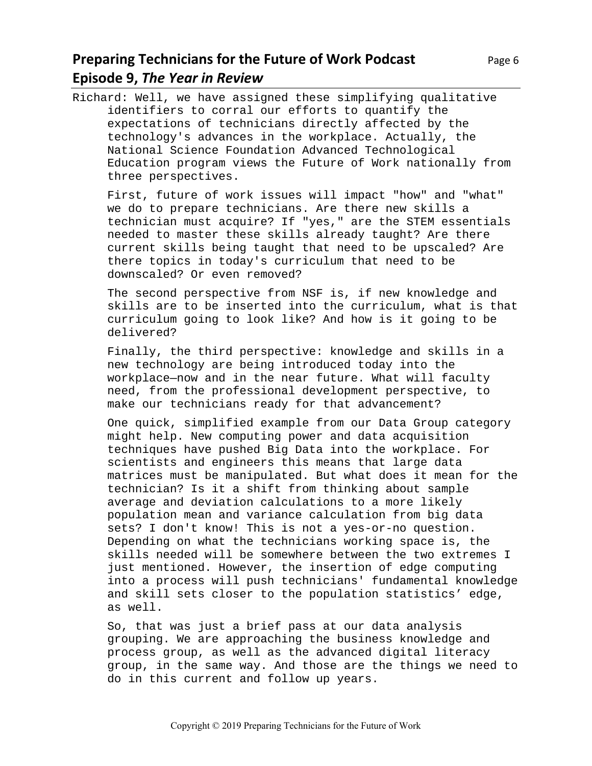# **Preparing Technicians for the Future of Work Podcast** Page 6 **Episode 9,** *The Year in Review*

Richard: Well, we have assigned these simplifying qualitative identifiers to corral our efforts to quantify the expectations of technicians directly affected by the technology's advances in the workplace. Actually, the National Science Foundation Advanced Technological Education program views the Future of Work nationally from three perspectives.

First, future of work issues will impact "how" and "what" we do to prepare technicians. Are there new skills a technician must acquire? If "yes," are the STEM essentials needed to master these skills already taught? Are there current skills being taught that need to be upscaled? Are there topics in today's curriculum that need to be downscaled? Or even removed?

The second perspective from NSF is, if new knowledge and skills are to be inserted into the curriculum, what is that curriculum going to look like? And how is it going to be delivered?

Finally, the third perspective: knowledge and skills in a new technology are being introduced today into the workplace—now and in the near future. What will faculty need, from the professional development perspective, to make our technicians ready for that advancement?

One quick, simplified example from our Data Group category might help. New computing power and data acquisition techniques have pushed Big Data into the workplace. For scientists and engineers this means that large data matrices must be manipulated. But what does it mean for the technician? Is it a shift from thinking about sample average and deviation calculations to a more likely population mean and variance calculation from big data sets? I don't know! This is not a yes-or-no question. Depending on what the technicians working space is, the skills needed will be somewhere between the two extremes I just mentioned. However, the insertion of edge computing into a process will push technicians' fundamental knowledge and skill sets closer to the population statistics' edge, as well.

So, that was just a brief pass at our data analysis grouping. We are approaching the business knowledge and process group, as well as the advanced digital literacy group, in the same way. And those are the things we need to do in this current and follow up years.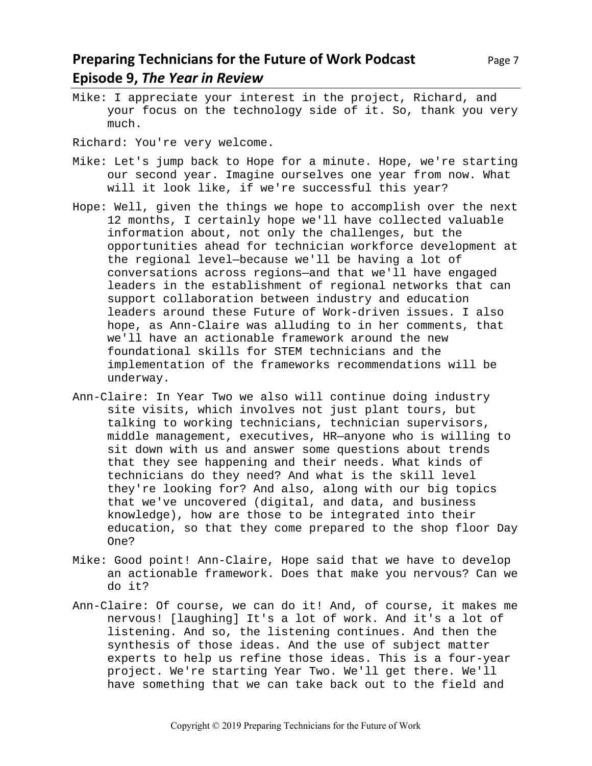Mike: I appreciate your interest in the project, Richard, and your focus on the technology side of it. So, thank you very much.

Richard: You're very welcome.

- Mike: Let's jump back to Hope for a minute. Hope, we're starting our second year. Imagine ourselves one year from now. What will it look like, if we're successful this year?
- Hope: Well, given the things we hope to accomplish over the next 12 months, I certainly hope we'll have collected valuable information about, not only the challenges, but the opportunities ahead for technician workforce development at the regional level—because we'll be having a lot of conversations across regions—and that we'll have engaged leaders in the establishment of regional networks that can support collaboration between industry and education leaders around these Future of Work-driven issues. I also hope, as Ann-Claire was alluding to in her comments, that we'll have an actionable framework around the new foundational skills for STEM technicians and the implementation of the frameworks recommendations will be underway.
- Ann-Claire: In Year Two we also will continue doing industry site visits, which involves not just plant tours, but talking to working technicians, technician supervisors, middle management, executives, HR—anyone who is willing to sit down with us and answer some questions about trends that they see happening and their needs. What kinds of technicians do they need? And what is the skill level they're looking for? And also, along with our big topics that we've uncovered (digital, and data, and business knowledge), how are those to be integrated into their education, so that they come prepared to the shop floor Day One?
- Mike: Good point! Ann-Claire, Hope said that we have to develop an actionable framework. Does that make you nervous? Can we do it?
- Ann-Claire: Of course, we can do it! And, of course, it makes me nervous! [laughing] It's a lot of work. And it's a lot of listening. And so, the listening continues. And then the synthesis of those ideas. And the use of subject matter experts to help us refine those ideas. This is a four-year project. We're starting Year Two. We'll get there. We'll have something that we can take back out to the field and